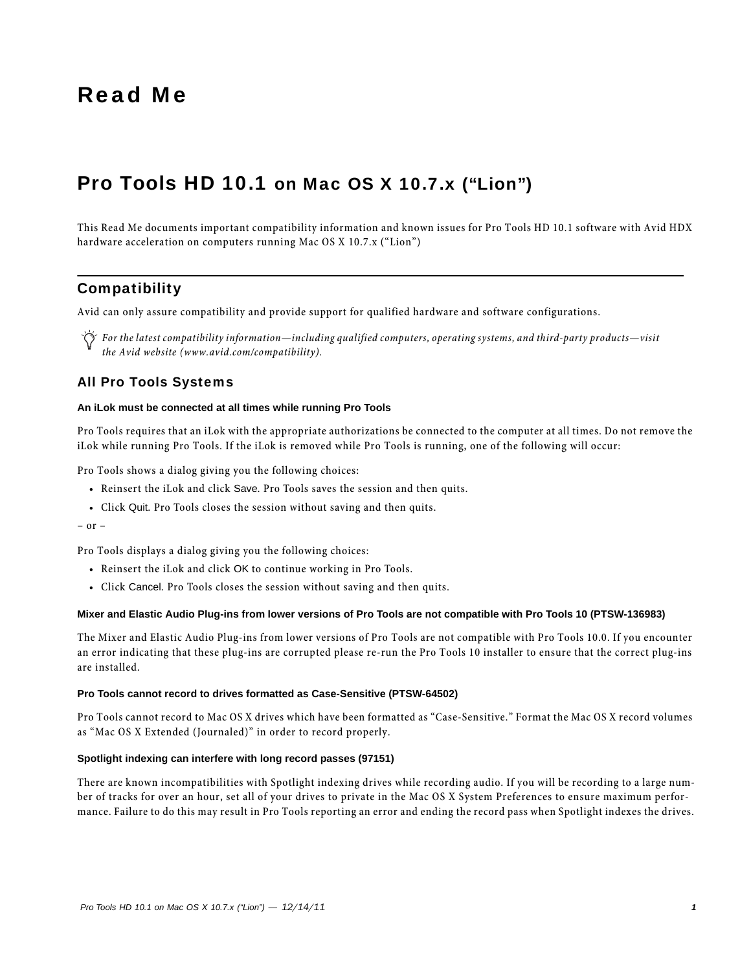# Read Me

# Pro Tools HD 10.1 on Mac OS X 10.7.x ("Lion")

This Read Me documents important compatibility information and known issues for Pro Tools HD 10.1 software with Avid HDX hardware acceleration on computers running Mac OS X 10.7.x ("Lion")

## **Compatibility**

Avid can only assure compatibility and provide support for qualified hardware and software configurations.

*For the latest compatibility information—including qualified computers, operating systems, and third-party products—visit the Avid website (www.avid.com/compatibility).*

### All Pro Tools Systems

#### **An iLok must be connected at all times while running Pro Tools**

Pro Tools requires that an iLok with the appropriate authorizations be connected to the computer at all times. Do not remove the iLok while running Pro Tools. If the iLok is removed while Pro Tools is running, one of the following will occur:

Pro Tools shows a dialog giving you the following choices:

- Reinsert the iLok and click Save. Pro Tools saves the session and then quits.
- Click Quit. Pro Tools closes the session without saving and then quits.

– or –

Pro Tools displays a dialog giving you the following choices:

- Reinsert the iLok and click OK to continue working in Pro Tools.
- Click Cancel. Pro Tools closes the session without saving and then quits.

#### **Mixer and Elastic Audio Plug-ins from lower versions of Pro Tools are not compatible with Pro Tools 10 (PTSW-136983)**

The Mixer and Elastic Audio Plug-ins from lower versions of Pro Tools are not compatible with Pro Tools 10.0. If you encounter an error indicating that these plug-ins are corrupted please re-run the Pro Tools 10 installer to ensure that the correct plug-ins are installed.

#### **Pro Tools cannot record to drives formatted as Case-Sensitive (PTSW-64502)**

Pro Tools cannot record to Mac OS X drives which have been formatted as "Case-Sensitive." Format the Mac OS X record volumes as "Mac OS X Extended (Journaled)" in order to record properly.

#### **Spotlight indexing can interfere with long record passes (97151)**

There are known incompatibilities with Spotlight indexing drives while recording audio. If you will be recording to a large number of tracks for over an hour, set all of your drives to private in the Mac OS X System Preferences to ensure maximum performance. Failure to do this may result in Pro Tools reporting an error and ending the record pass when Spotlight indexes the drives.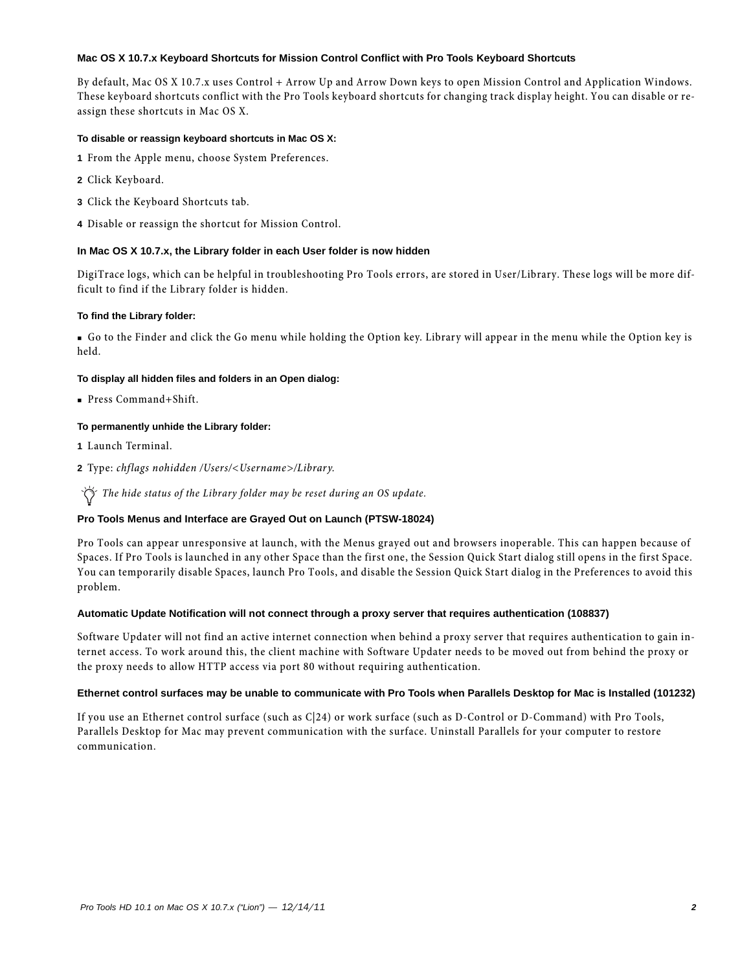#### **Mac OS X 10.7.x Keyboard Shortcuts for Mission Control Conflict with Pro Tools Keyboard Shortcuts**

By default, Mac OS X 10.7.x uses Control + Arrow Up and Arrow Down keys to open Mission Control and Application Windows. These keyboard shortcuts conflict with the Pro Tools keyboard shortcuts for changing track display height. You can disable or reassign these shortcuts in Mac OS X.

#### **To disable or reassign keyboard shortcuts in Mac OS X:**

- **1** From the Apple menu, choose System Preferences.
- **2** Click Keyboard.
- **3** Click the Keyboard Shortcuts tab.
- **4** Disable or reassign the shortcut for Mission Control.

#### **In Mac OS X 10.7.x, the Library folder in each User folder is now hidden**

DigiTrace logs, which can be helpful in troubleshooting Pro Tools errors, are stored in User/Library. These logs will be more difficult to find if the Library folder is hidden.

#### **To find the Library folder:**

 Go to the Finder and click the Go menu while holding the Option key. Library will appear in the menu while the Option key is held.

#### **To display all hidden files and folders in an Open dialog:**

Press Command+Shift.

#### **To permanently unhide the Library folder:**

**1** Launch Terminal.

**2** Type: *chflags nohidden /Users/<Username>/Library.*

*The hide status of the Library folder may be reset during an OS update.*

#### **Pro Tools Menus and Interface are Grayed Out on Launch (PTSW-18024)**

Pro Tools can appear unresponsive at launch, with the Menus grayed out and browsers inoperable. This can happen because of Spaces. If Pro Tools is launched in any other Space than the first one, the Session Quick Start dialog still opens in the first Space. You can temporarily disable Spaces, launch Pro Tools, and disable the Session Quick Start dialog in the Preferences to avoid this problem.

#### **Automatic Update Notification will not connect through a proxy server that requires authentication (108837)**

Software Updater will not find an active internet connection when behind a proxy server that requires authentication to gain internet access. To work around this, the client machine with Software Updater needs to be moved out from behind the proxy or the proxy needs to allow HTTP access via port 80 without requiring authentication.

#### **Ethernet control surfaces may be unable to communicate with Pro Tools when Parallels Desktop for Mac is Installed (101232)**

If you use an Ethernet control surface (such as C|24) or work surface (such as D-Control or D-Command) with Pro Tools, Parallels Desktop for Mac may prevent communication with the surface. Uninstall Parallels for your computer to restore communication.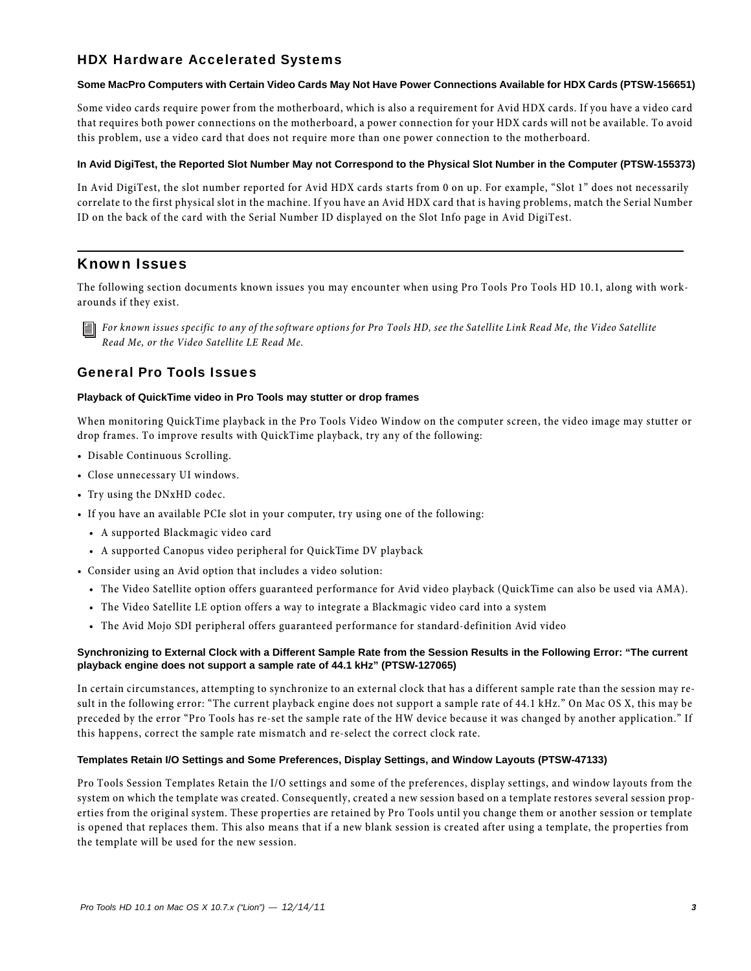# HDX Hardware Accelerated Systems

#### **Some MacPro Computers with Certain Video Cards May Not Have Power Connections Available for HDX Cards (PTSW-156651)**

Some video cards require power from the motherboard, which is also a requirement for Avid HDX cards. If you have a video card that requires both power connections on the motherboard, a power connection for your HDX cards will not be available. To avoid this problem, use a video card that does not require more than one power connection to the motherboard.

#### **In Avid DigiTest, the Reported Slot Number May not Correspond to the Physical Slot Number in the Computer (PTSW-155373)**

In Avid DigiTest, the slot number reported for Avid HDX cards starts from 0 on up. For example, "Slot 1" does not necessarily correlate to the first physical slot in the machine. If you have an Avid HDX card that is having problems, match the Serial Number ID on the back of the card with the Serial Number ID displayed on the Slot Info page in Avid DigiTest.

## Known Issues

The following section documents known issues you may encounter when using Pro Tools Pro Tools HD 10.1, along with workarounds if they exist.

*For known issues specific to any of the software options for Pro Tools HD, see the Satellite Link Read Me, the Video Satellite Read Me, or the Video Satellite LE Read Me.*

### General Pro Tools Issues

#### **Playback of QuickTime video in Pro Tools may stutter or drop frames**

When monitoring QuickTime playback in the Pro Tools Video Window on the computer screen, the video image may stutter or drop frames. To improve results with QuickTime playback, try any of the following:

- Disable Continuous Scrolling.
- Close unnecessary UI windows.
- Try using the DNxHD codec.
- If you have an available PCIe slot in your computer, try using one of the following:
	- A supported Blackmagic video card
	- A supported Canopus video peripheral for QuickTime DV playback
- Consider using an Avid option that includes a video solution:
	- The Video Satellite option offers guaranteed performance for Avid video playback (QuickTime can also be used via AMA).
	- The Video Satellite LE option offers a way to integrate a Blackmagic video card into a system
	- The Avid Mojo SDI peripheral offers guaranteed performance for standard-definition Avid video

#### **Synchronizing to External Clock with a Different Sample Rate from the Session Results in the Following Error: "The current playback engine does not support a sample rate of 44.1 kHz" (PTSW-127065)**

In certain circumstances, attempting to synchronize to an external clock that has a different sample rate than the session may result in the following error: "The current playback engine does not support a sample rate of 44.1 kHz." On Mac OS X, this may be preceded by the error "Pro Tools has re-set the sample rate of the HW device because it was changed by another application." If this happens, correct the sample rate mismatch and re-select the correct clock rate.

#### **Templates Retain I/O Settings and Some Preferences, Display Settings, and Window Layouts (PTSW-47133)**

Pro Tools Session Templates Retain the I/O settings and some of the preferences, display settings, and window layouts from the system on which the template was created. Consequently, created a new session based on a template restores several session properties from the original system. These properties are retained by Pro Tools until you change them or another session or template is opened that replaces them. This also means that if a new blank session is created after using a template, the properties from the template will be used for the new session.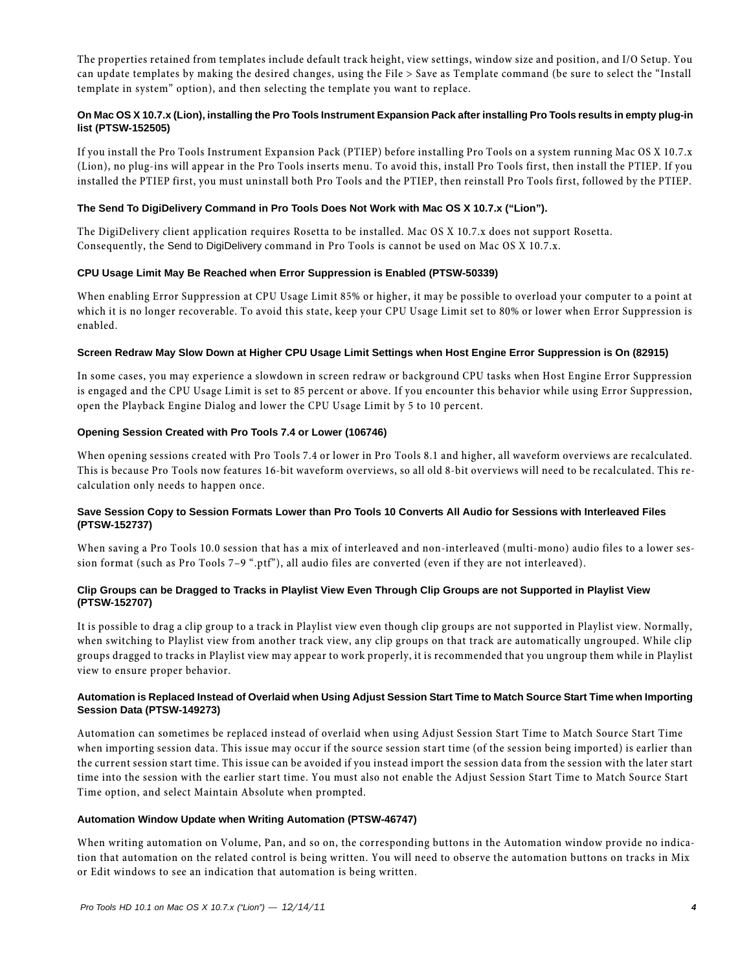The properties retained from templates include default track height, view settings, window size and position, and I/O Setup. You can update templates by making the desired changes, using the File > Save as Template command (be sure to select the "Install template in system" option), and then selecting the template you want to replace.

### **On Mac OS X 10.7.x (Lion), installing the Pro Tools Instrument Expansion Pack after installing Pro Tools results in empty plug-in list (PTSW-152505)**

If you install the Pro Tools Instrument Expansion Pack (PTIEP) before installing Pro Tools on a system running Mac OS X 10.7.x (Lion), no plug-ins will appear in the Pro Tools inserts menu. To avoid this, install Pro Tools first, then install the PTIEP. If you installed the PTIEP first, you must uninstall both Pro Tools and the PTIEP, then reinstall Pro Tools first, followed by the PTIEP.

#### **The Send To DigiDelivery Command in Pro Tools Does Not Work with Mac OS X 10.7.x ("Lion").**

The DigiDelivery client application requires Rosetta to be installed. Mac OS X 10.7.x does not support Rosetta. Consequently, the Send to DigiDelivery command in Pro Tools is cannot be used on Mac OS X 10.7.x.

#### **CPU Usage Limit May Be Reached when Error Suppression is Enabled (PTSW-50339)**

When enabling Error Suppression at CPU Usage Limit 85% or higher, it may be possible to overload your computer to a point at which it is no longer recoverable. To avoid this state, keep your CPU Usage Limit set to 80% or lower when Error Suppression is enabled.

#### **Screen Redraw May Slow Down at Higher CPU Usage Limit Settings when Host Engine Error Suppression is On (82915)**

In some cases, you may experience a slowdown in screen redraw or background CPU tasks when Host Engine Error Suppression is engaged and the CPU Usage Limit is set to 85 percent or above. If you encounter this behavior while using Error Suppression, open the Playback Engine Dialog and lower the CPU Usage Limit by 5 to 10 percent.

#### **Opening Session Created with Pro Tools 7.4 or Lower (106746)**

When opening sessions created with Pro Tools 7.4 or lower in Pro Tools 8.1 and higher, all waveform overviews are recalculated. This is because Pro Tools now features 16-bit waveform overviews, so all old 8-bit overviews will need to be recalculated. This recalculation only needs to happen once.

#### **Save Session Copy to Session Formats Lower than Pro Tools 10 Converts All Audio for Sessions with Interleaved Files (PTSW-152737)**

When saving a Pro Tools 10.0 session that has a mix of interleaved and non-interleaved (multi-mono) audio files to a lower session format (such as Pro Tools 7–9 ".ptf"), all audio files are converted (even if they are not interleaved).

#### **Clip Groups can be Dragged to Tracks in Playlist View Even Through Clip Groups are not Supported in Playlist View (PTSW-152707)**

It is possible to drag a clip group to a track in Playlist view even though clip groups are not supported in Playlist view. Normally, when switching to Playlist view from another track view, any clip groups on that track are automatically ungrouped. While clip groups dragged to tracks in Playlist view may appear to work properly, it is recommended that you ungroup them while in Playlist view to ensure proper behavior.

#### **Automation is Replaced Instead of Overlaid when Using Adjust Session Start Time to Match Source Start Time when Importing Session Data (PTSW-149273)**

Automation can sometimes be replaced instead of overlaid when using Adjust Session Start Time to Match Source Start Time when importing session data. This issue may occur if the source session start time (of the session being imported) is earlier than the current session start time. This issue can be avoided if you instead import the session data from the session with the later start time into the session with the earlier start time. You must also not enable the Adjust Session Start Time to Match Source Start Time option, and select Maintain Absolute when prompted.

#### **Automation Window Update when Writing Automation (PTSW-46747)**

When writing automation on Volume, Pan, and so on, the corresponding buttons in the Automation window provide no indication that automation on the related control is being written. You will need to observe the automation buttons on tracks in Mix or Edit windows to see an indication that automation is being written.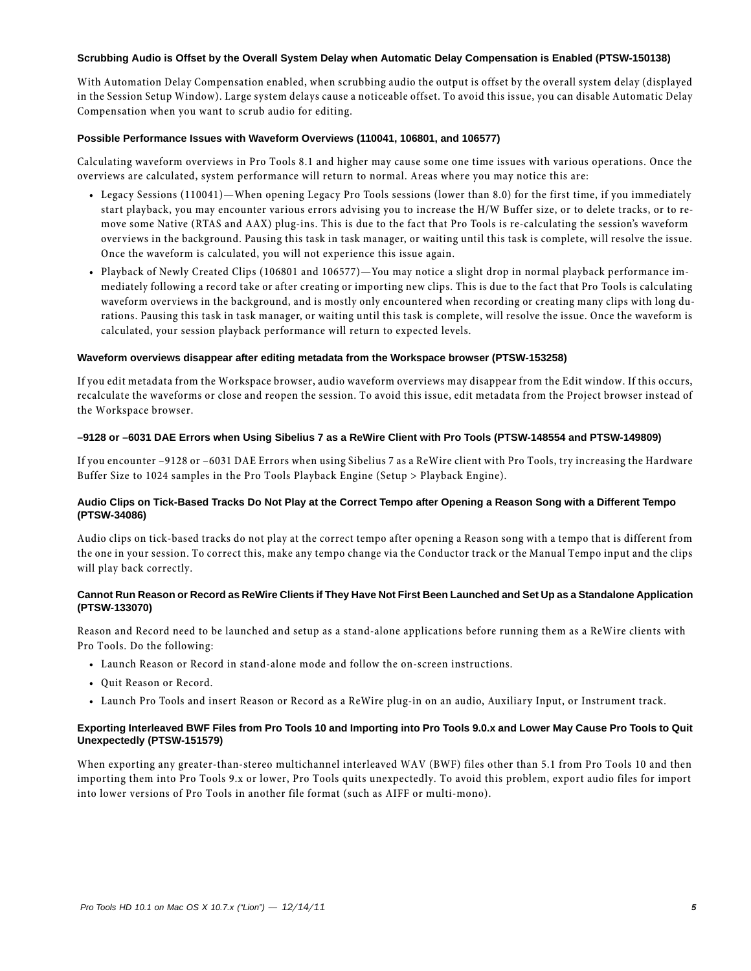#### **Scrubbing Audio is Offset by the Overall System Delay when Automatic Delay Compensation is Enabled (PTSW-150138)**

With Automation Delay Compensation enabled, when scrubbing audio the output is offset by the overall system delay (displayed in the Session Setup Window). Large system delays cause a noticeable offset. To avoid this issue, you can disable Automatic Delay Compensation when you want to scrub audio for editing.

#### **Possible Performance Issues with Waveform Overviews (110041, 106801, and 106577)**

Calculating waveform overviews in Pro Tools 8.1 and higher may cause some one time issues with various operations. Once the overviews are calculated, system performance will return to normal. Areas where you may notice this are:

- Legacy Sessions (110041)—When opening Legacy Pro Tools sessions (lower than 8.0) for the first time, if you immediately start playback, you may encounter various errors advising you to increase the H/W Buffer size, or to delete tracks, or to remove some Native (RTAS and AAX) plug-ins. This is due to the fact that Pro Tools is re-calculating the session's waveform overviews in the background. Pausing this task in task manager, or waiting until this task is complete, will resolve the issue. Once the waveform is calculated, you will not experience this issue again.
- Playback of Newly Created Clips (106801 and 106577)—You may notice a slight drop in normal playback performance immediately following a record take or after creating or importing new clips. This is due to the fact that Pro Tools is calculating waveform overviews in the background, and is mostly only encountered when recording or creating many clips with long durations. Pausing this task in task manager, or waiting until this task is complete, will resolve the issue. Once the waveform is calculated, your session playback performance will return to expected levels.

#### **Waveform overviews disappear after editing metadata from the Workspace browser (PTSW-153258)**

If you edit metadata from the Workspace browser, audio waveform overviews may disappear from the Edit window. If this occurs, recalculate the waveforms or close and reopen the session. To avoid this issue, edit metadata from the Project browser instead of the Workspace browser.

#### **–9128 or –6031 DAE Errors when Using Sibelius 7 as a ReWire Client with Pro Tools (PTSW-148554 and PTSW-149809)**

If you encounter –9128 or –6031 DAE Errors when using Sibelius 7 as a ReWire client with Pro Tools, try increasing the Hardware Buffer Size to 1024 samples in the Pro Tools Playback Engine (Setup > Playback Engine).

#### **Audio Clips on Tick-Based Tracks Do Not Play at the Correct Tempo after Opening a Reason Song with a Different Tempo (PTSW-34086)**

Audio clips on tick-based tracks do not play at the correct tempo after opening a Reason song with a tempo that is different from the one in your session. To correct this, make any tempo change via the Conductor track or the Manual Tempo input and the clips will play back correctly.

#### **Cannot Run Reason or Record as ReWire Clients if They Have Not First Been Launched and Set Up as a Standalone Application (PTSW-133070)**

Reason and Record need to be launched and setup as a stand-alone applications before running them as a ReWire clients with Pro Tools. Do the following:

- Launch Reason or Record in stand-alone mode and follow the on-screen instructions.
- Quit Reason or Record.
- Launch Pro Tools and insert Reason or Record as a ReWire plug-in on an audio, Auxiliary Input, or Instrument track.

#### **Exporting Interleaved BWF Files from Pro Tools 10 and Importing into Pro Tools 9.0.x and Lower May Cause Pro Tools to Quit Unexpectedly (PTSW-151579)**

When exporting any greater-than-stereo multichannel interleaved WAV (BWF) files other than 5.1 from Pro Tools 10 and then importing them into Pro Tools 9.x or lower, Pro Tools quits unexpectedly. To avoid this problem, export audio files for import into lower versions of Pro Tools in another file format (such as AIFF or multi-mono).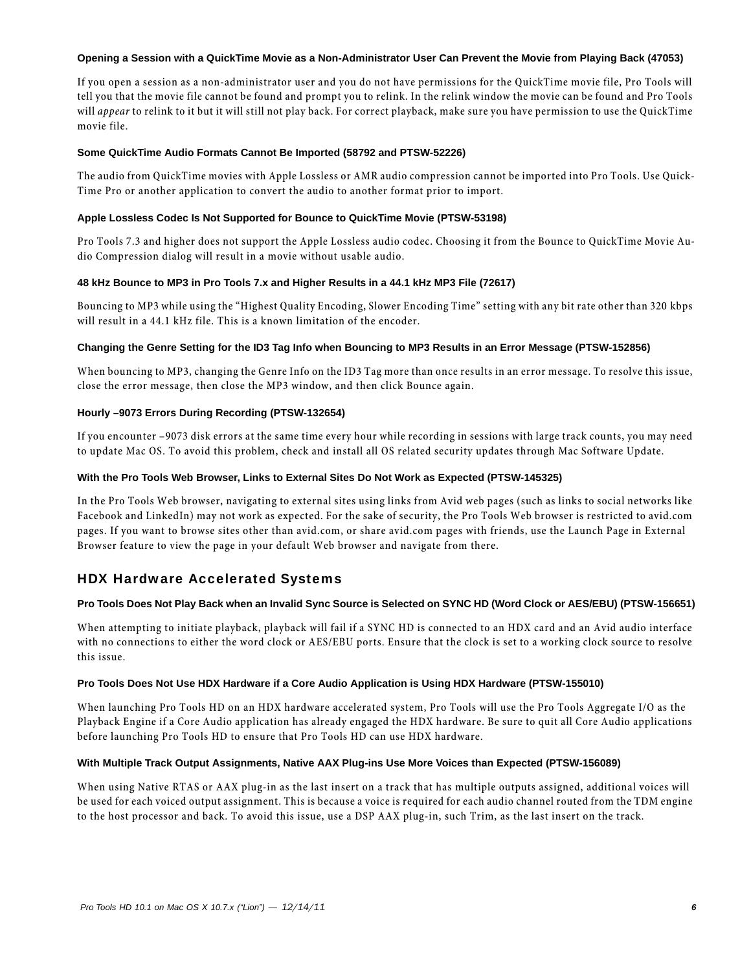#### **Opening a Session with a QuickTime Movie as a Non-Administrator User Can Prevent the Movie from Playing Back (47053)**

If you open a session as a non-administrator user and you do not have permissions for the QuickTime movie file, Pro Tools will tell you that the movie file cannot be found and prompt you to relink. In the relink window the movie can be found and Pro Tools will *appear* to relink to it but it will still not play back. For correct playback, make sure you have permission to use the QuickTime movie file.

#### **Some QuickTime Audio Formats Cannot Be Imported (58792 and PTSW-52226)**

The audio from QuickTime movies with Apple Lossless or AMR audio compression cannot be imported into Pro Tools. Use Quick-Time Pro or another application to convert the audio to another format prior to import.

#### **Apple Lossless Codec Is Not Supported for Bounce to QuickTime Movie (PTSW-53198)**

Pro Tools 7.3 and higher does not support the Apple Lossless audio codec. Choosing it from the Bounce to QuickTime Movie Audio Compression dialog will result in a movie without usable audio.

#### **48 kHz Bounce to MP3 in Pro Tools 7.x and Higher Results in a 44.1 kHz MP3 File (72617)**

Bouncing to MP3 while using the "Highest Quality Encoding, Slower Encoding Time" setting with any bit rate other than 320 kbps will result in a 44.1 kHz file. This is a known limitation of the encoder.

#### **Changing the Genre Setting for the ID3 Tag Info when Bouncing to MP3 Results in an Error Message (PTSW-152856)**

When bouncing to MP3, changing the Genre Info on the ID3 Tag more than once results in an error message. To resolve this issue, close the error message, then close the MP3 window, and then click Bounce again.

#### **Hourly –9073 Errors During Recording (PTSW-132654)**

If you encounter –9073 disk errors at the same time every hour while recording in sessions with large track counts, you may need to update Mac OS. To avoid this problem, check and install all OS related security updates through Mac Software Update.

#### **With the Pro Tools Web Browser, Links to External Sites Do Not Work as Expected (PTSW-145325)**

In the Pro Tools Web browser, navigating to external sites using links from Avid web pages (such as links to social networks like Facebook and LinkedIn) may not work as expected. For the sake of security, the Pro Tools Web browser is restricted to avid.com pages. If you want to browse sites other than avid.com, or share avid.com pages with friends, use the Launch Page in External Browser feature to view the page in your default Web browser and navigate from there.

### HDX Hardware Accelerated Systems

#### **Pro Tools Does Not Play Back when an Invalid Sync Source is Selected on SYNC HD (Word Clock or AES/EBU) (PTSW-156651)**

When attempting to initiate playback, playback will fail if a SYNC HD is connected to an HDX card and an Avid audio interface with no connections to either the word clock or AES/EBU ports. Ensure that the clock is set to a working clock source to resolve this issue.

#### **Pro Tools Does Not Use HDX Hardware if a Core Audio Application is Using HDX Hardware (PTSW-155010)**

When launching Pro Tools HD on an HDX hardware accelerated system, Pro Tools will use the Pro Tools Aggregate I/O as the Playback Engine if a Core Audio application has already engaged the HDX hardware. Be sure to quit all Core Audio applications before launching Pro Tools HD to ensure that Pro Tools HD can use HDX hardware.

#### **With Multiple Track Output Assignments, Native AAX Plug-ins Use More Voices than Expected (PTSW-156089)**

When using Native RTAS or AAX plug-in as the last insert on a track that has multiple outputs assigned, additional voices will be used for each voiced output assignment. This is because a voice is required for each audio channel routed from the TDM engine to the host processor and back. To avoid this issue, use a DSP AAX plug-in, such Trim, as the last insert on the track.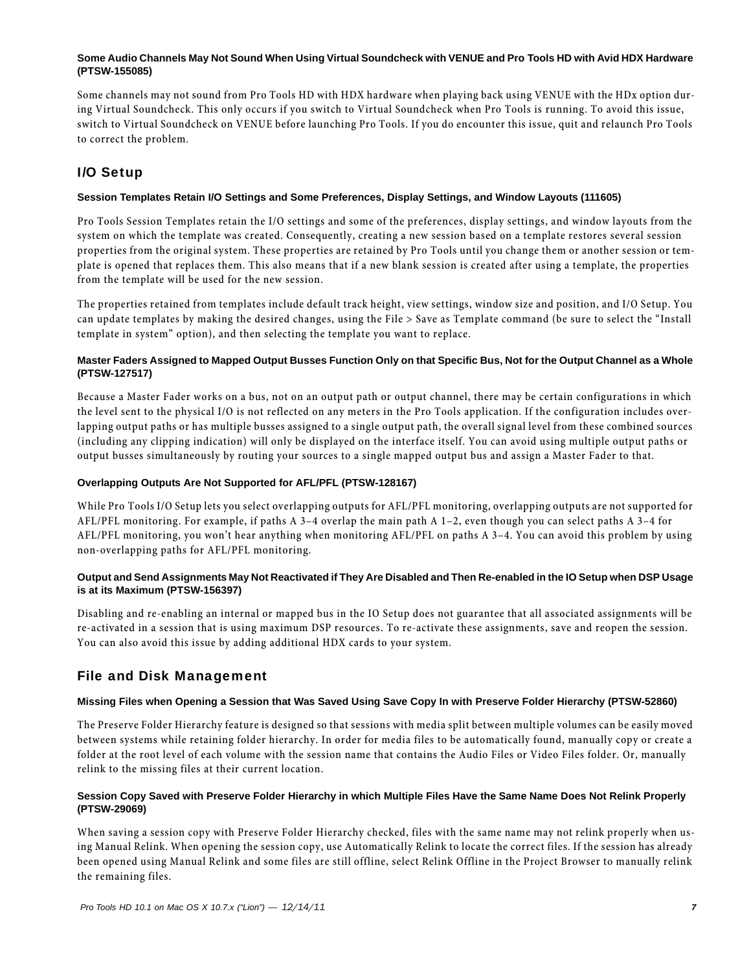#### **Some Audio Channels May Not Sound When Using Virtual Soundcheck with VENUE and Pro Tools HD with Avid HDX Hardware (PTSW-155085)**

Some channels may not sound from Pro Tools HD with HDX hardware when playing back using VENUE with the HDx option during Virtual Soundcheck. This only occurs if you switch to Virtual Soundcheck when Pro Tools is running. To avoid this issue, switch to Virtual Soundcheck on VENUE before launching Pro Tools. If you do encounter this issue, quit and relaunch Pro Tools to correct the problem.

# I/O Setup

### **Session Templates Retain I/O Settings and Some Preferences, Display Settings, and Window Layouts (111605)**

Pro Tools Session Templates retain the I/O settings and some of the preferences, display settings, and window layouts from the system on which the template was created. Consequently, creating a new session based on a template restores several session properties from the original system. These properties are retained by Pro Tools until you change them or another session or template is opened that replaces them. This also means that if a new blank session is created after using a template, the properties from the template will be used for the new session.

The properties retained from templates include default track height, view settings, window size and position, and I/O Setup. You can update templates by making the desired changes, using the File > Save as Template command (be sure to select the "Install template in system" option), and then selecting the template you want to replace.

#### **Master Faders Assigned to Mapped Output Busses Function Only on that Specific Bus, Not for the Output Channel as a Whole (PTSW-127517)**

Because a Master Fader works on a bus, not on an output path or output channel, there may be certain configurations in which the level sent to the physical I/O is not reflected on any meters in the Pro Tools application. If the configuration includes overlapping output paths or has multiple busses assigned to a single output path, the overall signal level from these combined sources (including any clipping indication) will only be displayed on the interface itself. You can avoid using multiple output paths or output busses simultaneously by routing your sources to a single mapped output bus and assign a Master Fader to that.

#### **Overlapping Outputs Are Not Supported for AFL/PFL (PTSW-128167)**

While Pro Tools I/O Setup lets you select overlapping outputs for AFL/PFL monitoring, overlapping outputs are not supported for AFL/PFL monitoring. For example, if paths A 3–4 overlap the main path A 1–2, even though you can select paths A 3–4 for AFL/PFL monitoring, you won't hear anything when monitoring AFL/PFL on paths A 3–4. You can avoid this problem by using non-overlapping paths for AFL/PFL monitoring.

#### **Output and Send Assignments May Not Reactivated if They Are Disabled and Then Re-enabled in the IO Setup when DSP Usage is at its Maximum (PTSW-156397)**

Disabling and re-enabling an internal or mapped bus in the IO Setup does not guarantee that all associated assignments will be re-activated in a session that is using maximum DSP resources. To re-activate these assignments, save and reopen the session. You can also avoid this issue by adding additional HDX cards to your system.

### File and Disk Management

#### **Missing Files when Opening a Session that Was Saved Using Save Copy In with Preserve Folder Hierarchy (PTSW-52860)**

The Preserve Folder Hierarchy feature is designed so that sessions with media split between multiple volumes can be easily moved between systems while retaining folder hierarchy. In order for media files to be automatically found, manually copy or create a folder at the root level of each volume with the session name that contains the Audio Files or Video Files folder. Or, manually relink to the missing files at their current location.

#### **Session Copy Saved with Preserve Folder Hierarchy in which Multiple Files Have the Same Name Does Not Relink Properly (PTSW-29069)**

When saving a session copy with Preserve Folder Hierarchy checked, files with the same name may not relink properly when using Manual Relink. When opening the session copy, use Automatically Relink to locate the correct files. If the session has already been opened using Manual Relink and some files are still offline, select Relink Offline in the Project Browser to manually relink the remaining files.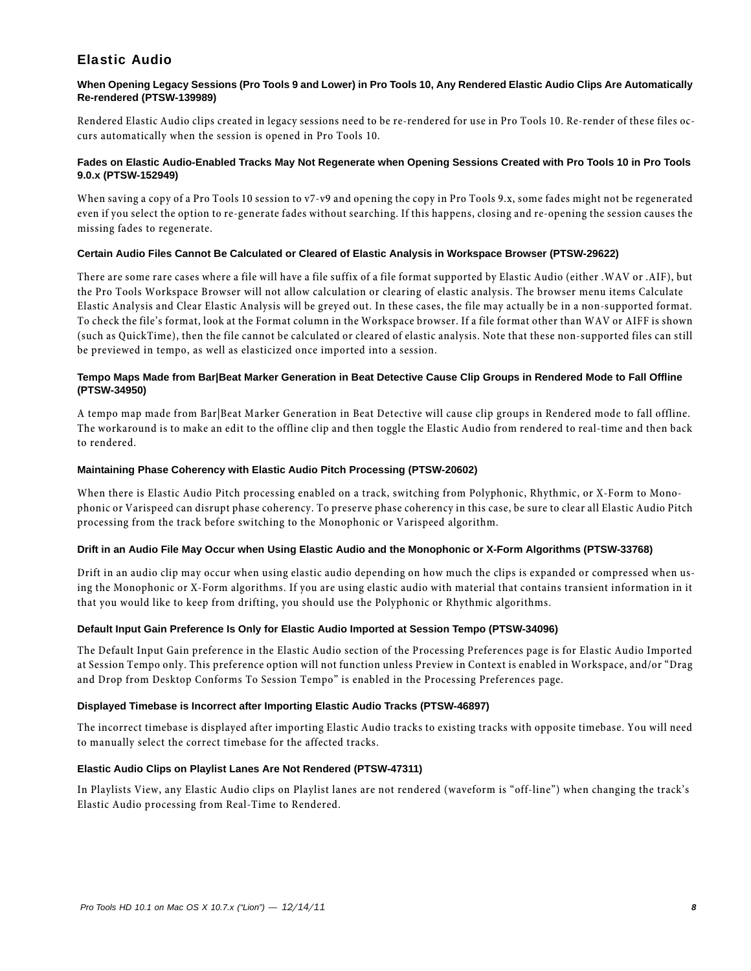# Elastic Audio

#### **When Opening Legacy Sessions (Pro Tools 9 and Lower) in Pro Tools 10, Any Rendered Elastic Audio Clips Are Automatically Re-rendered (PTSW-139989)**

Rendered Elastic Audio clips created in legacy sessions need to be re-rendered for use in Pro Tools 10. Re-render of these files occurs automatically when the session is opened in Pro Tools 10.

#### **Fades on Elastic Audio-Enabled Tracks May Not Regenerate when Opening Sessions Created with Pro Tools 10 in Pro Tools 9.0.x (PTSW-152949)**

When saving a copy of a Pro Tools 10 session to v7-v9 and opening the copy in Pro Tools 9.x, some fades might not be regenerated even if you select the option to re-generate fades without searching. If this happens, closing and re-opening the session causes the missing fades to regenerate.

#### **Certain Audio Files Cannot Be Calculated or Cleared of Elastic Analysis in Workspace Browser (PTSW-29622)**

There are some rare cases where a file will have a file suffix of a file format supported by Elastic Audio (either .WAV or .AIF), but the Pro Tools Workspace Browser will not allow calculation or clearing of elastic analysis. The browser menu items Calculate Elastic Analysis and Clear Elastic Analysis will be greyed out. In these cases, the file may actually be in a non-supported format. To check the file's format, look at the Format column in the Workspace browser. If a file format other than WAV or AIFF is shown (such as QuickTime), then the file cannot be calculated or cleared of elastic analysis. Note that these non-supported files can still be previewed in tempo, as well as elasticized once imported into a session.

#### **Tempo Maps Made from Bar|Beat Marker Generation in Beat Detective Cause Clip Groups in Rendered Mode to Fall Offline (PTSW-34950)**

A tempo map made from Bar|Beat Marker Generation in Beat Detective will cause clip groups in Rendered mode to fall offline. The workaround is to make an edit to the offline clip and then toggle the Elastic Audio from rendered to real-time and then back to rendered.

#### **Maintaining Phase Coherency with Elastic Audio Pitch Processing (PTSW-20602)**

When there is Elastic Audio Pitch processing enabled on a track, switching from Polyphonic, Rhythmic, or X-Form to Monophonic or Varispeed can disrupt phase coherency. To preserve phase coherency in this case, be sure to clear all Elastic Audio Pitch processing from the track before switching to the Monophonic or Varispeed algorithm.

#### **Drift in an Audio File May Occur when Using Elastic Audio and the Monophonic or X-Form Algorithms (PTSW-33768)**

Drift in an audio clip may occur when using elastic audio depending on how much the clips is expanded or compressed when using the Monophonic or X-Form algorithms. If you are using elastic audio with material that contains transient information in it that you would like to keep from drifting, you should use the Polyphonic or Rhythmic algorithms.

### **Default Input Gain Preference Is Only for Elastic Audio Imported at Session Tempo (PTSW-34096)**

The Default Input Gain preference in the Elastic Audio section of the Processing Preferences page is for Elastic Audio Imported at Session Tempo only. This preference option will not function unless Preview in Context is enabled in Workspace, and/or "Drag and Drop from Desktop Conforms To Session Tempo" is enabled in the Processing Preferences page.

#### **Displayed Timebase is Incorrect after Importing Elastic Audio Tracks (PTSW-46897)**

The incorrect timebase is displayed after importing Elastic Audio tracks to existing tracks with opposite timebase. You will need to manually select the correct timebase for the affected tracks.

### **Elastic Audio Clips on Playlist Lanes Are Not Rendered (PTSW-47311)**

In Playlists View, any Elastic Audio clips on Playlist lanes are not rendered (waveform is "off-line") when changing the track's Elastic Audio processing from Real-Time to Rendered.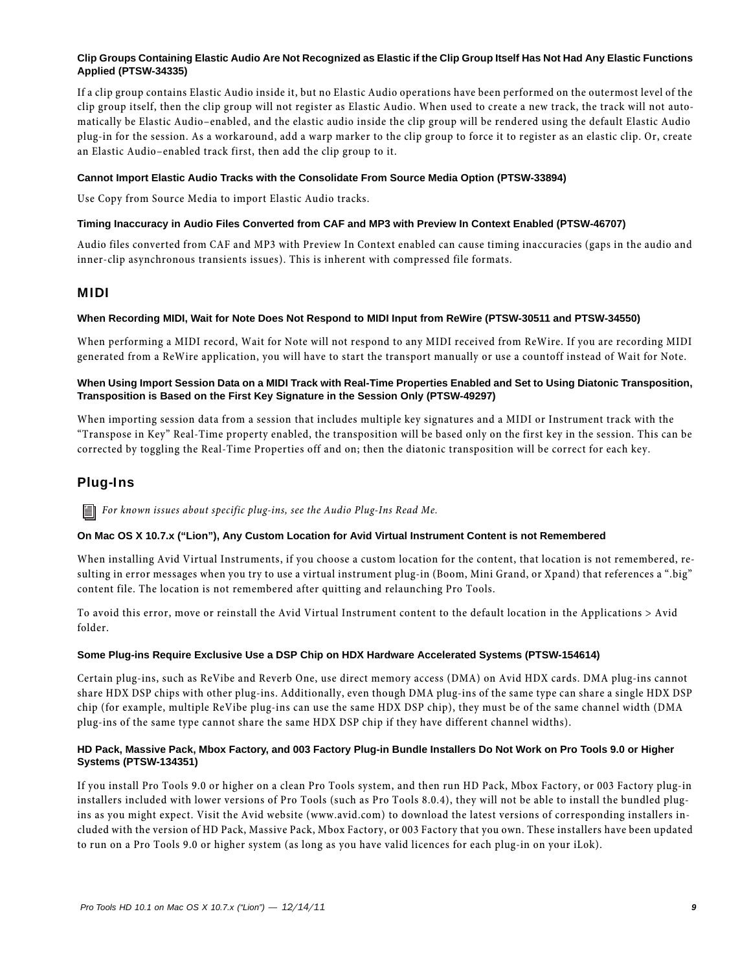#### **Clip Groups Containing Elastic Audio Are Not Recognized as Elastic if the Clip Group Itself Has Not Had Any Elastic Functions Applied (PTSW-34335)**

If a clip group contains Elastic Audio inside it, but no Elastic Audio operations have been performed on the outermost level of the clip group itself, then the clip group will not register as Elastic Audio. When used to create a new track, the track will not automatically be Elastic Audio–enabled, and the elastic audio inside the clip group will be rendered using the default Elastic Audio plug-in for the session. As a workaround, add a warp marker to the clip group to force it to register as an elastic clip. Or, create an Elastic Audio–enabled track first, then add the clip group to it.

#### **Cannot Import Elastic Audio Tracks with the Consolidate From Source Media Option (PTSW-33894)**

Use Copy from Source Media to import Elastic Audio tracks.

#### **Timing Inaccuracy in Audio Files Converted from CAF and MP3 with Preview In Context Enabled (PTSW-46707)**

Audio files converted from CAF and MP3 with Preview In Context enabled can cause timing inaccuracies (gaps in the audio and inner-clip asynchronous transients issues). This is inherent with compressed file formats.

### MIDI

#### **When Recording MIDI, Wait for Note Does Not Respond to MIDI Input from ReWire (PTSW-30511 and PTSW-34550)**

When performing a MIDI record, Wait for Note will not respond to any MIDI received from ReWire. If you are recording MIDI generated from a ReWire application, you will have to start the transport manually or use a countoff instead of Wait for Note.

#### **When Using Import Session Data on a MIDI Track with Real-Time Properties Enabled and Set to Using Diatonic Transposition, Transposition is Based on the First Key Signature in the Session Only (PTSW-49297)**

When importing session data from a session that includes multiple key signatures and a MIDI or Instrument track with the "Transpose in Key" Real-Time property enabled, the transposition will be based only on the first key in the session. This can be corrected by toggling the Real-Time Properties off and on; then the diatonic transposition will be correct for each key.

# Plug-Ins

*For known issues about specific plug-ins, see the Audio Plug-Ins Read Me.*

#### **On Mac OS X 10.7.x ("Lion"), Any Custom Location for Avid Virtual Instrument Content is not Remembered**

When installing Avid Virtual Instruments, if you choose a custom location for the content, that location is not remembered, resulting in error messages when you try to use a virtual instrument plug-in (Boom, Mini Grand, or Xpand) that references a ".big" content file. The location is not remembered after quitting and relaunching Pro Tools.

To avoid this error, move or reinstall the Avid Virtual Instrument content to the default location in the Applications > Avid folder.

#### **Some Plug-ins Require Exclusive Use a DSP Chip on HDX Hardware Accelerated Systems (PTSW-154614)**

Certain plug-ins, such as ReVibe and Reverb One, use direct memory access (DMA) on Avid HDX cards. DMA plug-ins cannot share HDX DSP chips with other plug-ins. Additionally, even though DMA plug-ins of the same type can share a single HDX DSP chip (for example, multiple ReVibe plug-ins can use the same HDX DSP chip), they must be of the same channel width (DMA plug-ins of the same type cannot share the same HDX DSP chip if they have different channel widths).

#### **HD Pack, Massive Pack, Mbox Factory, and 003 Factory Plug-in Bundle Installers Do Not Work on Pro Tools 9.0 or Higher Systems (PTSW-134351)**

If you install Pro Tools 9.0 or higher on a clean Pro Tools system, and then run HD Pack, Mbox Factory, or 003 Factory plug-in installers included with lower versions of Pro Tools (such as Pro Tools 8.0.4), they will not be able to install the bundled plugins as you might expect. Visit the Avid website (www.avid.com) to download the latest versions of corresponding installers included with the version of HD Pack, Massive Pack, Mbox Factory, or 003 Factory that you own. These installers have been updated to run on a Pro Tools 9.0 or higher system (as long as you have valid licences for each plug-in on your iLok).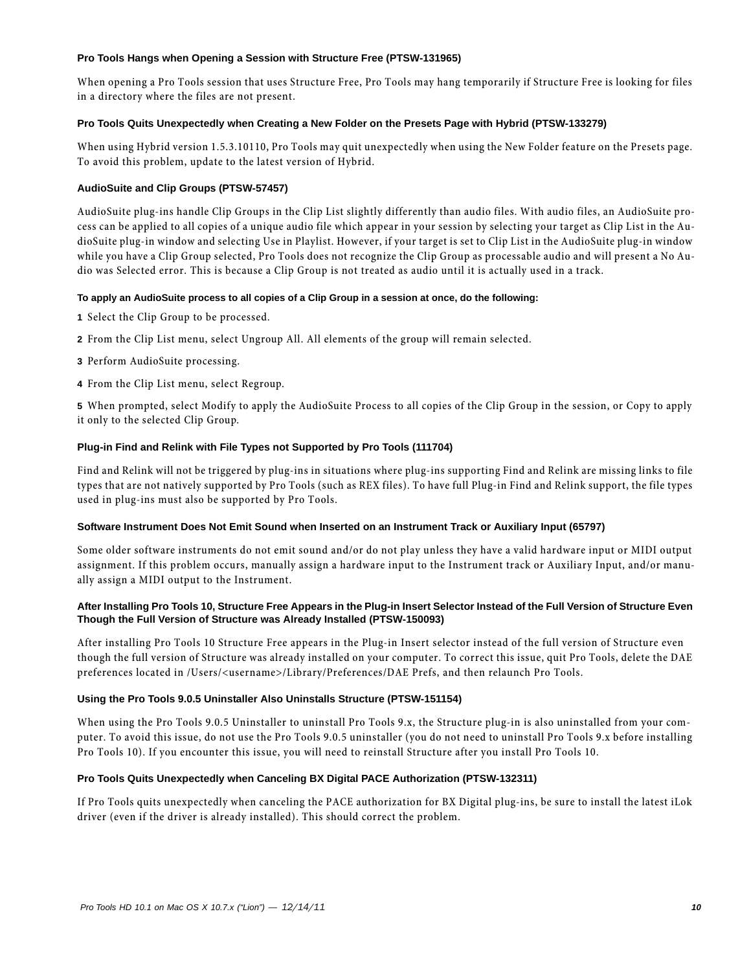#### **Pro Tools Hangs when Opening a Session with Structure Free (PTSW-131965)**

When opening a Pro Tools session that uses Structure Free, Pro Tools may hang temporarily if Structure Free is looking for files in a directory where the files are not present.

#### **Pro Tools Quits Unexpectedly when Creating a New Folder on the Presets Page with Hybrid (PTSW-133279)**

When using Hybrid version 1.5.3.10110, Pro Tools may quit unexpectedly when using the New Folder feature on the Presets page. To avoid this problem, update to the latest version of Hybrid.

#### **AudioSuite and Clip Groups (PTSW-57457)**

AudioSuite plug-ins handle Clip Groups in the Clip List slightly differently than audio files. With audio files, an AudioSuite process can be applied to all copies of a unique audio file which appear in your session by selecting your target as Clip List in the AudioSuite plug-in window and selecting Use in Playlist. However, if your target is set to Clip List in the AudioSuite plug-in window while you have a Clip Group selected, Pro Tools does not recognize the Clip Group as processable audio and will present a No Audio was Selected error. This is because a Clip Group is not treated as audio until it is actually used in a track.

#### **To apply an AudioSuite process to all copies of a Clip Group in a session at once, do the following:**

- **1** Select the Clip Group to be processed.
- **2** From the Clip List menu, select Ungroup All. All elements of the group will remain selected.
- **3** Perform AudioSuite processing.
- **4** From the Clip List menu, select Regroup.

**5** When prompted, select Modify to apply the AudioSuite Process to all copies of the Clip Group in the session, or Copy to apply it only to the selected Clip Group.

#### **Plug-in Find and Relink with File Types not Supported by Pro Tools (111704)**

Find and Relink will not be triggered by plug-ins in situations where plug-ins supporting Find and Relink are missing links to file types that are not natively supported by Pro Tools (such as REX files). To have full Plug-in Find and Relink support, the file types used in plug-ins must also be supported by Pro Tools.

#### **Software Instrument Does Not Emit Sound when Inserted on an Instrument Track or Auxiliary Input (65797)**

Some older software instruments do not emit sound and/or do not play unless they have a valid hardware input or MIDI output assignment. If this problem occurs, manually assign a hardware input to the Instrument track or Auxiliary Input, and/or manually assign a MIDI output to the Instrument.

#### **After Installing Pro Tools 10, Structure Free Appears in the Plug-in Insert Selector Instead of the Full Version of Structure Even Though the Full Version of Structure was Already Installed (PTSW-150093)**

After installing Pro Tools 10 Structure Free appears in the Plug-in Insert selector instead of the full version of Structure even though the full version of Structure was already installed on your computer. To correct this issue, quit Pro Tools, delete the DAE preferences located in /Users/<username>/Library/Preferences/DAE Prefs, and then relaunch Pro Tools.

#### **Using the Pro Tools 9.0.5 Uninstaller Also Uninstalls Structure (PTSW-151154)**

When using the Pro Tools 9.0.5 Uninstaller to uninstall Pro Tools 9.x, the Structure plug-in is also uninstalled from your computer. To avoid this issue, do not use the Pro Tools 9.0.5 uninstaller (you do not need to uninstall Pro Tools 9.x before installing Pro Tools 10). If you encounter this issue, you will need to reinstall Structure after you install Pro Tools 10.

#### **Pro Tools Quits Unexpectedly when Canceling BX Digital PACE Authorization (PTSW-132311)**

If Pro Tools quits unexpectedly when canceling the PACE authorization for BX Digital plug-ins, be sure to install the latest iLok driver (even if the driver is already installed). This should correct the problem.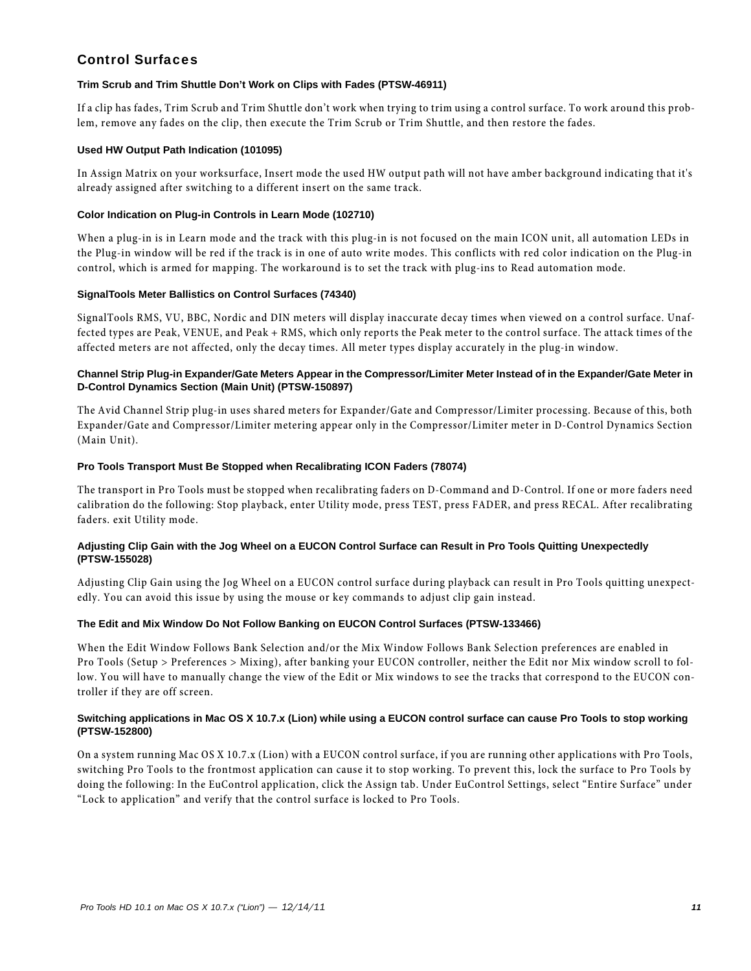# Control Surfaces

#### **Trim Scrub and Trim Shuttle Don't Work on Clips with Fades (PTSW-46911)**

If a clip has fades, Trim Scrub and Trim Shuttle don't work when trying to trim using a control surface. To work around this problem, remove any fades on the clip, then execute the Trim Scrub or Trim Shuttle, and then restore the fades.

#### **Used HW Output Path Indication (101095)**

In Assign Matrix on your worksurface, Insert mode the used HW output path will not have amber background indicating that it's already assigned after switching to a different insert on the same track.

#### **Color Indication on Plug-in Controls in Learn Mode (102710)**

When a plug-in is in Learn mode and the track with this plug-in is not focused on the main ICON unit, all automation LEDs in the Plug-in window will be red if the track is in one of auto write modes. This conflicts with red color indication on the Plug-in control, which is armed for mapping. The workaround is to set the track with plug-ins to Read automation mode.

#### **SignalTools Meter Ballistics on Control Surfaces (74340)**

SignalTools RMS, VU, BBC, Nordic and DIN meters will display inaccurate decay times when viewed on a control surface. Unaffected types are Peak, VENUE, and Peak + RMS, which only reports the Peak meter to the control surface. The attack times of the affected meters are not affected, only the decay times. All meter types display accurately in the plug-in window.

#### **Channel Strip Plug-in Expander/Gate Meters Appear in the Compressor/Limiter Meter Instead of in the Expander/Gate Meter in D-Control Dynamics Section (Main Unit) (PTSW-150897)**

The Avid Channel Strip plug-in uses shared meters for Expander/Gate and Compressor/Limiter processing. Because of this, both Expander/Gate and Compressor/Limiter metering appear only in the Compressor/Limiter meter in D-Control Dynamics Section (Main Unit).

#### **Pro Tools Transport Must Be Stopped when Recalibrating ICON Faders (78074)**

The transport in Pro Tools must be stopped when recalibrating faders on D-Command and D-Control. If one or more faders need calibration do the following: Stop playback, enter Utility mode, press TEST, press FADER, and press RECAL. After recalibrating faders. exit Utility mode.

#### **Adjusting Clip Gain with the Jog Wheel on a EUCON Control Surface can Result in Pro Tools Quitting Unexpectedly (PTSW-155028)**

Adjusting Clip Gain using the Jog Wheel on a EUCON control surface during playback can result in Pro Tools quitting unexpectedly. You can avoid this issue by using the mouse or key commands to adjust clip gain instead.

#### **The Edit and Mix Window Do Not Follow Banking on EUCON Control Surfaces (PTSW-133466)**

When the Edit Window Follows Bank Selection and/or the Mix Window Follows Bank Selection preferences are enabled in Pro Tools (Setup > Preferences > Mixing), after banking your EUCON controller, neither the Edit nor Mix window scroll to follow. You will have to manually change the view of the Edit or Mix windows to see the tracks that correspond to the EUCON controller if they are off screen.

#### **Switching applications in Mac OS X 10.7.x (Lion) while using a EUCON control surface can cause Pro Tools to stop working (PTSW-152800)**

On a system running Mac OS X 10.7.x (Lion) with a EUCON control surface, if you are running other applications with Pro Tools, switching Pro Tools to the frontmost application can cause it to stop working. To prevent this, lock the surface to Pro Tools by doing the following: In the EuControl application, click the Assign tab. Under EuControl Settings, select "Entire Surface" under "Lock to application" and verify that the control surface is locked to Pro Tools.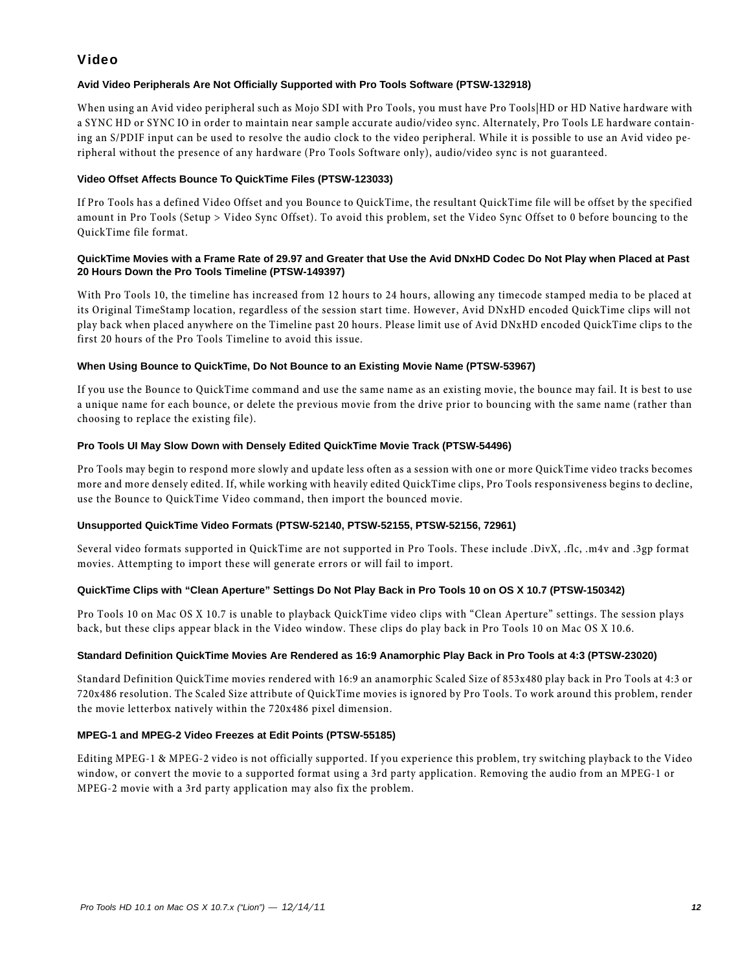# Video

### **Avid Video Peripherals Are Not Officially Supported with Pro Tools Software (PTSW-132918)**

When using an Avid video peripheral such as Mojo SDI with Pro Tools, you must have Pro Tools|HD or HD Native hardware with a SYNC HD or SYNC IO in order to maintain near sample accurate audio/video sync. Alternately, Pro Tools LE hardware containing an S/PDIF input can be used to resolve the audio clock to the video peripheral. While it is possible to use an Avid video peripheral without the presence of any hardware (Pro Tools Software only), audio/video sync is not guaranteed.

#### **Video Offset Affects Bounce To QuickTime Files (PTSW-123033)**

If Pro Tools has a defined Video Offset and you Bounce to QuickTime, the resultant QuickTime file will be offset by the specified amount in Pro Tools (Setup > Video Sync Offset). To avoid this problem, set the Video Sync Offset to 0 before bouncing to the QuickTime file format.

#### **QuickTime Movies with a Frame Rate of 29.97 and Greater that Use the Avid DNxHD Codec Do Not Play when Placed at Past 20 Hours Down the Pro Tools Timeline (PTSW-149397)**

With Pro Tools 10, the timeline has increased from 12 hours to 24 hours, allowing any timecode stamped media to be placed at its Original TimeStamp location, regardless of the session start time. However, Avid DNxHD encoded QuickTime clips will not play back when placed anywhere on the Timeline past 20 hours. Please limit use of Avid DNxHD encoded QuickTime clips to the first 20 hours of the Pro Tools Timeline to avoid this issue.

#### **When Using Bounce to QuickTime, Do Not Bounce to an Existing Movie Name (PTSW-53967)**

If you use the Bounce to QuickTime command and use the same name as an existing movie, the bounce may fail. It is best to use a unique name for each bounce, or delete the previous movie from the drive prior to bouncing with the same name (rather than choosing to replace the existing file).

#### **Pro Tools UI May Slow Down with Densely Edited QuickTime Movie Track (PTSW-54496)**

Pro Tools may begin to respond more slowly and update less often as a session with one or more QuickTime video tracks becomes more and more densely edited. If, while working with heavily edited QuickTime clips, Pro Tools responsiveness begins to decline, use the Bounce to QuickTime Video command, then import the bounced movie.

#### **Unsupported QuickTime Video Formats (PTSW-52140, PTSW-52155, PTSW-52156, 72961)**

Several video formats supported in QuickTime are not supported in Pro Tools. These include .DivX, .flc, .m4v and .3gp format movies. Attempting to import these will generate errors or will fail to import.

#### **QuickTime Clips with "Clean Aperture" Settings Do Not Play Back in Pro Tools 10 on OS X 10.7 (PTSW-150342)**

Pro Tools 10 on Mac OS X 10.7 is unable to playback QuickTime video clips with "Clean Aperture" settings. The session plays back, but these clips appear black in the Video window. These clips do play back in Pro Tools 10 on Mac OS X 10.6.

#### **Standard Definition QuickTime Movies Are Rendered as 16:9 Anamorphic Play Back in Pro Tools at 4:3 (PTSW-23020)**

Standard Definition QuickTime movies rendered with 16:9 an anamorphic Scaled Size of 853x480 play back in Pro Tools at 4:3 or 720x486 resolution. The Scaled Size attribute of QuickTime movies is ignored by Pro Tools. To work around this problem, render the movie letterbox natively within the 720x486 pixel dimension.

#### **MPEG-1 and MPEG-2 Video Freezes at Edit Points (PTSW-55185)**

Editing MPEG-1 & MPEG-2 video is not officially supported. If you experience this problem, try switching playback to the Video window, or convert the movie to a supported format using a 3rd party application. Removing the audio from an MPEG-1 or MPEG-2 movie with a 3rd party application may also fix the problem.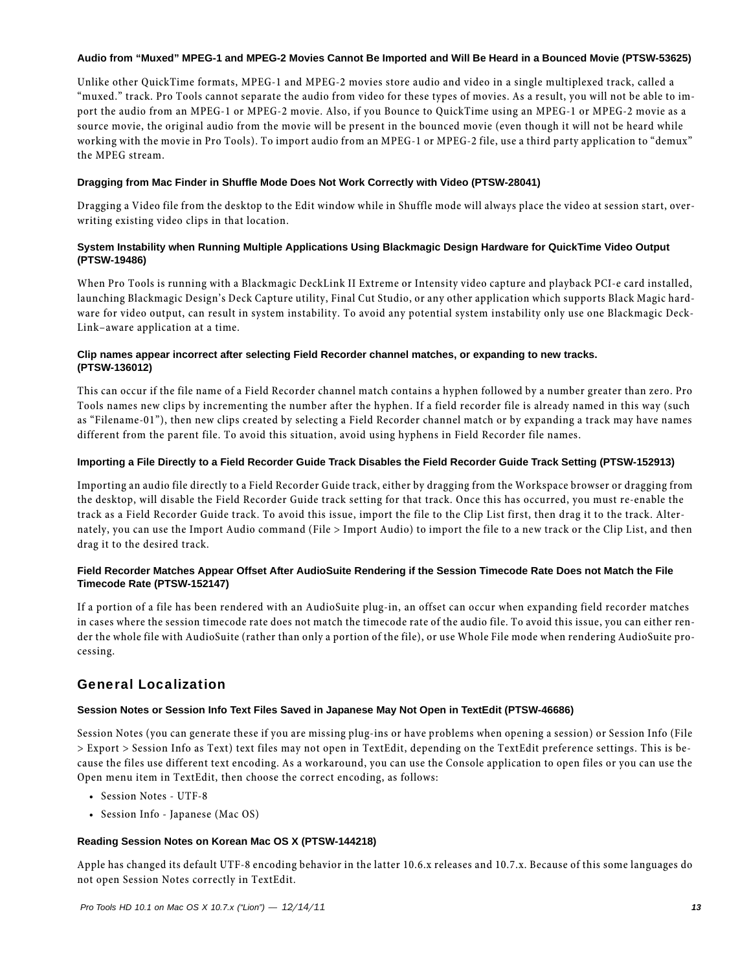#### **Audio from "Muxed" MPEG-1 and MPEG-2 Movies Cannot Be Imported and Will Be Heard in a Bounced Movie (PTSW-53625)**

Unlike other QuickTime formats, MPEG-1 and MPEG-2 movies store audio and video in a single multiplexed track, called a "muxed." track. Pro Tools cannot separate the audio from video for these types of movies. As a result, you will not be able to import the audio from an MPEG-1 or MPEG-2 movie. Also, if you Bounce to QuickTime using an MPEG-1 or MPEG-2 movie as a source movie, the original audio from the movie will be present in the bounced movie (even though it will not be heard while working with the movie in Pro Tools). To import audio from an MPEG-1 or MPEG-2 file, use a third party application to "demux" the MPEG stream.

#### **Dragging from Mac Finder in Shuffle Mode Does Not Work Correctly with Video (PTSW-28041)**

Dragging a Video file from the desktop to the Edit window while in Shuffle mode will always place the video at session start, overwriting existing video clips in that location.

#### **System Instability when Running Multiple Applications Using Blackmagic Design Hardware for QuickTime Video Output (PTSW-19486)**

When Pro Tools is running with a Blackmagic DeckLink II Extreme or Intensity video capture and playback PCI-e card installed, launching Blackmagic Design's Deck Capture utility, Final Cut Studio, or any other application which supports Black Magic hardware for video output, can result in system instability. To avoid any potential system instability only use one Blackmagic Deck-Link–aware application at a time.

#### **Clip names appear incorrect after selecting Field Recorder channel matches, or expanding to new tracks. (PTSW-136012)**

This can occur if the file name of a Field Recorder channel match contains a hyphen followed by a number greater than zero. Pro Tools names new clips by incrementing the number after the hyphen. If a field recorder file is already named in this way (such as "Filename-01"), then new clips created by selecting a Field Recorder channel match or by expanding a track may have names different from the parent file. To avoid this situation, avoid using hyphens in Field Recorder file names.

#### **Importing a File Directly to a Field Recorder Guide Track Disables the Field Recorder Guide Track Setting (PTSW-152913)**

Importing an audio file directly to a Field Recorder Guide track, either by dragging from the Workspace browser or dragging from the desktop, will disable the Field Recorder Guide track setting for that track. Once this has occurred, you must re-enable the track as a Field Recorder Guide track. To avoid this issue, import the file to the Clip List first, then drag it to the track. Alternately, you can use the Import Audio command (File > Import Audio) to import the file to a new track or the Clip List, and then drag it to the desired track.

#### **Field Recorder Matches Appear Offset After AudioSuite Rendering if the Session Timecode Rate Does not Match the File Timecode Rate (PTSW-152147)**

If a portion of a file has been rendered with an AudioSuite plug-in, an offset can occur when expanding field recorder matches in cases where the session timecode rate does not match the timecode rate of the audio file. To avoid this issue, you can either render the whole file with AudioSuite (rather than only a portion of the file), or use Whole File mode when rendering AudioSuite processing.

# General Localization

### **Session Notes or Session Info Text Files Saved in Japanese May Not Open in TextEdit (PTSW-46686)**

Session Notes (you can generate these if you are missing plug-ins or have problems when opening a session) or Session Info (File > Export > Session Info as Text) text files may not open in TextEdit, depending on the TextEdit preference settings. This is because the files use different text encoding. As a workaround, you can use the Console application to open files or you can use the Open menu item in TextEdit, then choose the correct encoding, as follows:

- Session Notes UTF-8
- Session Info Japanese (Mac OS)

#### **Reading Session Notes on Korean Mac OS X (PTSW-144218)**

Apple has changed its default UTF-8 encoding behavior in the latter 10.6.x releases and 10.7.x. Because of this some languages do not open Session Notes correctly in TextEdit.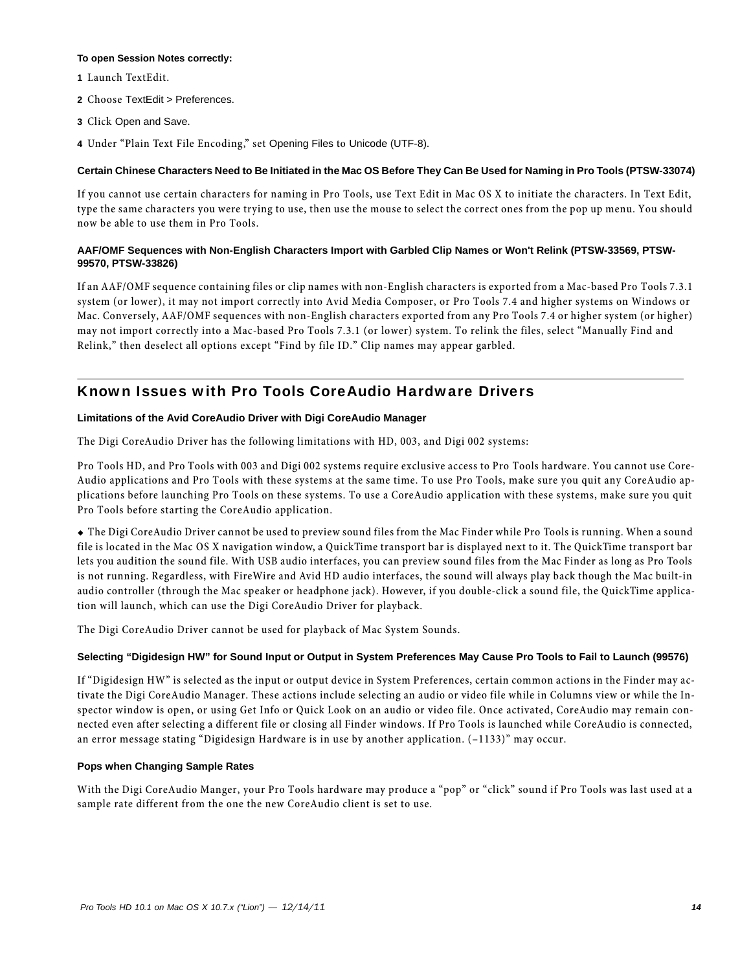#### **To open Session Notes correctly:**

- **1** Launch TextEdit.
- **2** Choose TextEdit > Preferences.
- **3** Click Open and Save.
- **4** Under "Plain Text File Encoding," set Opening Files to Unicode (UTF-8).

#### **Certain Chinese Characters Need to Be Initiated in the Mac OS Before They Can Be Used for Naming in Pro Tools (PTSW-33074)**

If you cannot use certain characters for naming in Pro Tools, use Text Edit in Mac OS X to initiate the characters. In Text Edit, type the same characters you were trying to use, then use the mouse to select the correct ones from the pop up menu. You should now be able to use them in Pro Tools.

#### **AAF/OMF Sequences with Non-English Characters Import with Garbled Clip Names or Won't Relink (PTSW-33569, PTSW-99570, PTSW-33826)**

If an AAF/OMF sequence containing files or clip names with non-English characters is exported from a Mac-based Pro Tools 7.3.1 system (or lower), it may not import correctly into Avid Media Composer, or Pro Tools 7.4 and higher systems on Windows or Mac. Conversely, AAF/OMF sequences with non-English characters exported from any Pro Tools 7.4 or higher system (or higher) may not import correctly into a Mac-based Pro Tools 7.3.1 (or lower) system. To relink the files, select "Manually Find and Relink," then deselect all options except "Find by file ID." Clip names may appear garbled.

# Known Issues with Pro Tools CoreAudio Hardware Drivers

#### **Limitations of the Avid CoreAudio Driver with Digi CoreAudio Manager**

The Digi CoreAudio Driver has the following limitations with HD, 003, and Digi 002 systems:

Pro Tools HD, and Pro Tools with 003 and Digi 002 systems require exclusive access to Pro Tools hardware. You cannot use Core-Audio applications and Pro Tools with these systems at the same time. To use Pro Tools, make sure you quit any CoreAudio applications before launching Pro Tools on these systems. To use a CoreAudio application with these systems, make sure you quit Pro Tools before starting the CoreAudio application.

 The Digi CoreAudio Driver cannot be used to preview sound files from the Mac Finder while Pro Tools is running. When a sound file is located in the Mac OS X navigation window, a QuickTime transport bar is displayed next to it. The QuickTime transport bar lets you audition the sound file. With USB audio interfaces, you can preview sound files from the Mac Finder as long as Pro Tools is not running. Regardless, with FireWire and Avid HD audio interfaces, the sound will always play back though the Mac built-in audio controller (through the Mac speaker or headphone jack). However, if you double-click a sound file, the QuickTime application will launch, which can use the Digi CoreAudio Driver for playback.

The Digi CoreAudio Driver cannot be used for playback of Mac System Sounds.

#### **Selecting "Digidesign HW" for Sound Input or Output in System Preferences May Cause Pro Tools to Fail to Launch (99576)**

If "Digidesign HW" is selected as the input or output device in System Preferences, certain common actions in the Finder may activate the Digi CoreAudio Manager. These actions include selecting an audio or video file while in Columns view or while the Inspector window is open, or using Get Info or Quick Look on an audio or video file. Once activated, CoreAudio may remain connected even after selecting a different file or closing all Finder windows. If Pro Tools is launched while CoreAudio is connected, an error message stating "Digidesign Hardware is in use by another application. (–1133)" may occur.

#### **Pops when Changing Sample Rates**

With the Digi CoreAudio Manger, your Pro Tools hardware may produce a "pop" or "click" sound if Pro Tools was last used at a sample rate different from the one the new CoreAudio client is set to use.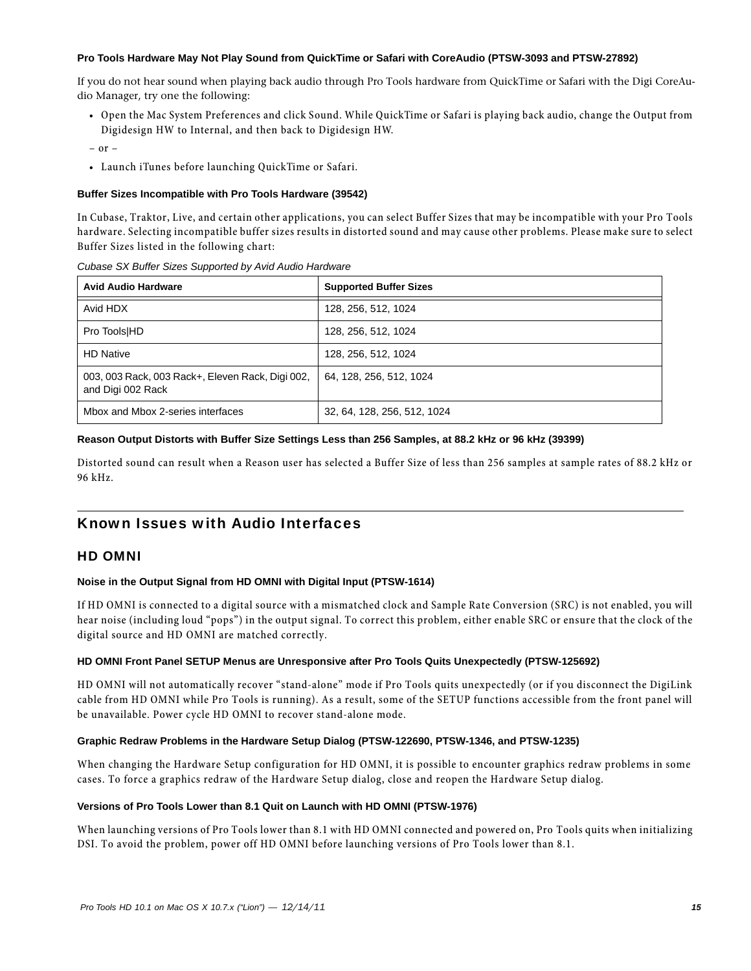#### **Pro Tools Hardware May Not Play Sound from QuickTime or Safari with CoreAudio (PTSW-3093 and PTSW-27892)**

If you do not hear sound when playing back audio through Pro Tools hardware from QuickTime or Safari with the Digi CoreAudio Manager, try one the following:

• Open the Mac System Preferences and click Sound. While QuickTime or Safari is playing back audio, change the Output from Digidesign HW to Internal, and then back to Digidesign HW.

– or –

• Launch iTunes before launching QuickTime or Safari.

#### **Buffer Sizes Incompatible with Pro Tools Hardware (39542)**

In Cubase, Traktor, Live, and certain other applications, you can select Buffer Sizes that may be incompatible with your Pro Tools hardware. Selecting incompatible buffer sizes results in distorted sound and may cause other problems. Please make sure to select Buffer Sizes listed in the following chart:

| <b>Avid Audio Hardware</b>                                            | <b>Supported Buffer Sizes</b> |
|-----------------------------------------------------------------------|-------------------------------|
| Avid HDX                                                              | 128, 256, 512, 1024           |
| Pro Tools HD                                                          | 128, 256, 512, 1024           |
| <b>HD Native</b>                                                      | 128, 256, 512, 1024           |
| 003, 003 Rack, 003 Rack+, Eleven Rack, Digi 002,<br>and Digi 002 Rack | 64, 128, 256, 512, 1024       |
| Mbox and Mbox 2-series interfaces                                     | 32, 64, 128, 256, 512, 1024   |

#### *Cubase SX Buffer Sizes Supported by Avid Audio Hardware*

#### **Reason Output Distorts with Buffer Size Settings Less than 256 Samples, at 88.2 kHz or 96 kHz (39399)**

Distorted sound can result when a Reason user has selected a Buffer Size of less than 256 samples at sample rates of 88.2 kHz or 96 kHz.

# Known Issues with Audio Interfaces

### HD OMNI

#### **Noise in the Output Signal from HD OMNI with Digital Input (PTSW-1614)**

If HD OMNI is connected to a digital source with a mismatched clock and Sample Rate Conversion (SRC) is not enabled, you will hear noise (including loud "pops") in the output signal. To correct this problem, either enable SRC or ensure that the clock of the digital source and HD OMNI are matched correctly.

#### **HD OMNI Front Panel SETUP Menus are Unresponsive after Pro Tools Quits Unexpectedly (PTSW-125692)**

HD OMNI will not automatically recover "stand-alone" mode if Pro Tools quits unexpectedly (or if you disconnect the DigiLink cable from HD OMNI while Pro Tools is running). As a result, some of the SETUP functions accessible from the front panel will be unavailable. Power cycle HD OMNI to recover stand-alone mode.

#### **Graphic Redraw Problems in the Hardware Setup Dialog (PTSW-122690, PTSW-1346, and PTSW-1235)**

When changing the Hardware Setup configuration for HD OMNI, it is possible to encounter graphics redraw problems in some cases. To force a graphics redraw of the Hardware Setup dialog, close and reopen the Hardware Setup dialog.

#### **Versions of Pro Tools Lower than 8.1 Quit on Launch with HD OMNI (PTSW-1976)**

When launching versions of Pro Tools lower than 8.1 with HD OMNI connected and powered on, Pro Tools quits when initializing DSI. To avoid the problem, power off HD OMNI before launching versions of Pro Tools lower than 8.1.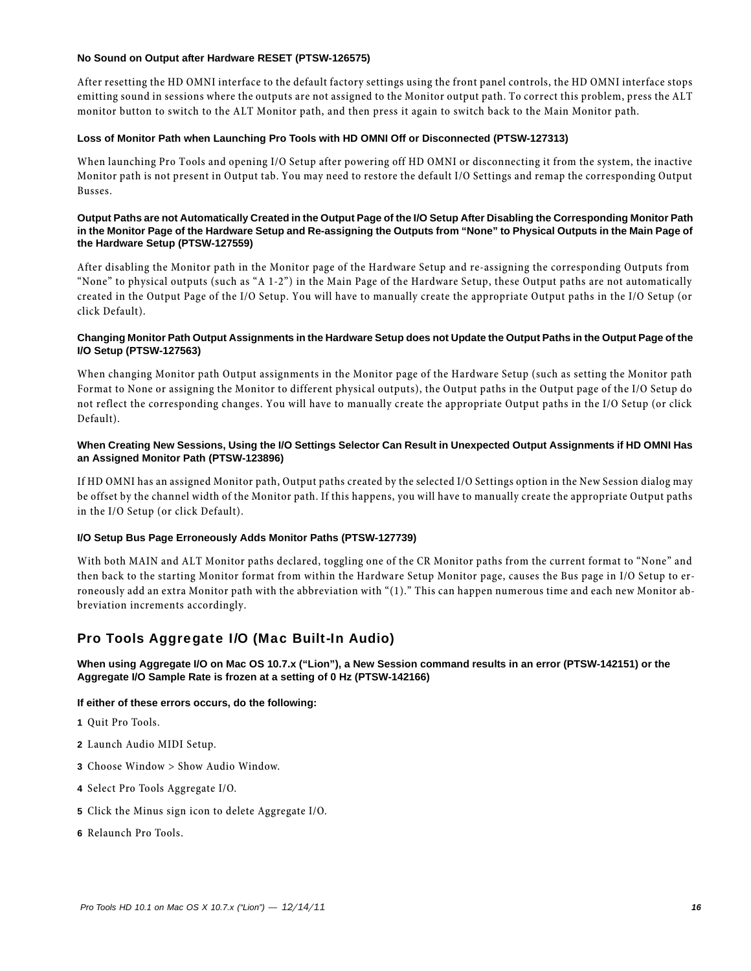#### **No Sound on Output after Hardware RESET (PTSW-126575)**

After resetting the HD OMNI interface to the default factory settings using the front panel controls, the HD OMNI interface stops emitting sound in sessions where the outputs are not assigned to the Monitor output path. To correct this problem, press the ALT monitor button to switch to the ALT Monitor path, and then press it again to switch back to the Main Monitor path.

#### **Loss of Monitor Path when Launching Pro Tools with HD OMNI Off or Disconnected (PTSW-127313)**

When launching Pro Tools and opening I/O Setup after powering off HD OMNI or disconnecting it from the system, the inactive Monitor path is not present in Output tab. You may need to restore the default I/O Settings and remap the corresponding Output Busses.

#### **Output Paths are not Automatically Created in the Output Page of the I/O Setup After Disabling the Corresponding Monitor Path in the Monitor Page of the Hardware Setup and Re-assigning the Outputs from "None" to Physical Outputs in the Main Page of the Hardware Setup (PTSW-127559)**

After disabling the Monitor path in the Monitor page of the Hardware Setup and re-assigning the corresponding Outputs from "None" to physical outputs (such as "A 1-2") in the Main Page of the Hardware Setup, these Output paths are not automatically created in the Output Page of the I/O Setup. You will have to manually create the appropriate Output paths in the I/O Setup (or click Default).

#### **Changing Monitor Path Output Assignments in the Hardware Setup does not Update the Output Paths in the Output Page of the I/O Setup (PTSW-127563)**

When changing Monitor path Output assignments in the Monitor page of the Hardware Setup (such as setting the Monitor path Format to None or assigning the Monitor to different physical outputs), the Output paths in the Output page of the I/O Setup do not reflect the corresponding changes. You will have to manually create the appropriate Output paths in the I/O Setup (or click Default).

#### **When Creating New Sessions, Using the I/O Settings Selector Can Result in Unexpected Output Assignments if HD OMNI Has an Assigned Monitor Path (PTSW-123896)**

If HD OMNI has an assigned Monitor path, Output paths created by the selected I/O Settings option in the New Session dialog may be offset by the channel width of the Monitor path. If this happens, you will have to manually create the appropriate Output paths in the I/O Setup (or click Default).

#### **I/O Setup Bus Page Erroneously Adds Monitor Paths (PTSW-127739)**

With both MAIN and ALT Monitor paths declared, toggling one of the CR Monitor paths from the current format to "None" and then back to the starting Monitor format from within the Hardware Setup Monitor page, causes the Bus page in I/O Setup to erroneously add an extra Monitor path with the abbreviation with "(1)." This can happen numerous time and each new Monitor abbreviation increments accordingly.

### Pro Tools Aggregate I/O (Mac Built-In Audio)

#### **When using Aggregate I/O on Mac OS 10.7.x ("Lion"), a New Session command results in an error (PTSW-142151) or the Aggregate I/O Sample Rate is frozen at a setting of 0 Hz (PTSW-142166)**

#### **If either of these errors occurs, do the following:**

- **1** Quit Pro Tools.
- **2** Launch Audio MIDI Setup.
- **3** Choose Window > Show Audio Window.
- **4** Select Pro Tools Aggregate I/O.
- **5** Click the Minus sign icon to delete Aggregate I/O.
- **6** Relaunch Pro Tools.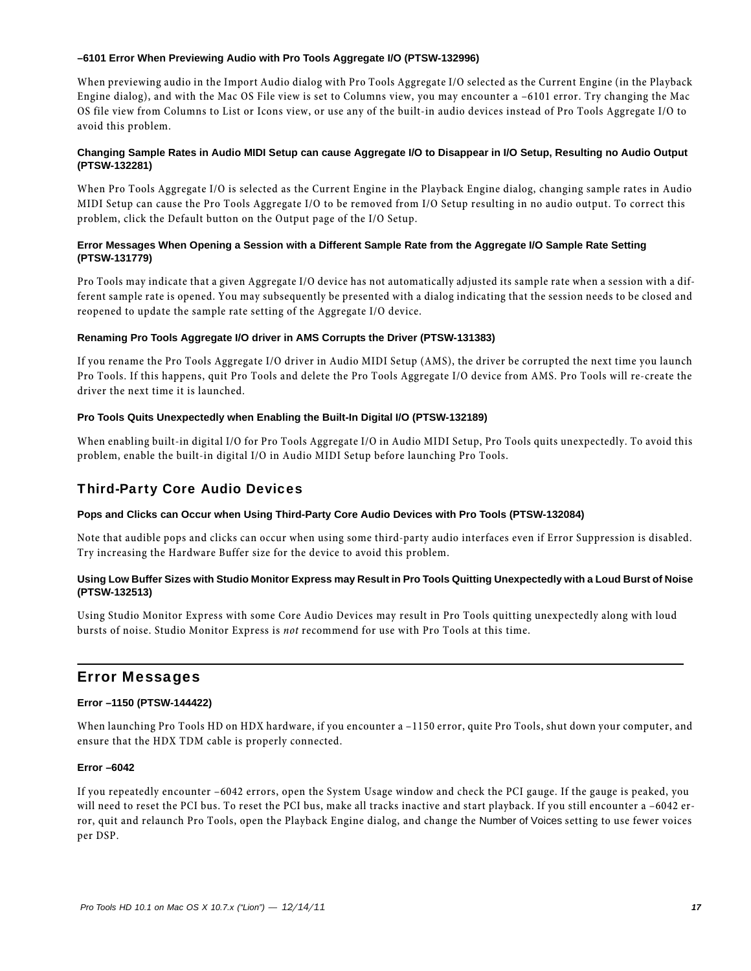#### **–6101 Error When Previewing Audio with Pro Tools Aggregate I/O (PTSW-132996)**

When previewing audio in the Import Audio dialog with Pro Tools Aggregate I/O selected as the Current Engine (in the Playback Engine dialog), and with the Mac OS File view is set to Columns view, you may encounter a –6101 error. Try changing the Mac OS file view from Columns to List or Icons view, or use any of the built-in audio devices instead of Pro Tools Aggregate I/O to avoid this problem.

#### **Changing Sample Rates in Audio MIDI Setup can cause Aggregate I/O to Disappear in I/O Setup, Resulting no Audio Output (PTSW-132281)**

When Pro Tools Aggregate I/O is selected as the Current Engine in the Playback Engine dialog, changing sample rates in Audio MIDI Setup can cause the Pro Tools Aggregate I/O to be removed from I/O Setup resulting in no audio output. To correct this problem, click the Default button on the Output page of the I/O Setup.

#### **Error Messages When Opening a Session with a Different Sample Rate from the Aggregate I/O Sample Rate Setting (PTSW-131779)**

Pro Tools may indicate that a given Aggregate I/O device has not automatically adjusted its sample rate when a session with a different sample rate is opened. You may subsequently be presented with a dialog indicating that the session needs to be closed and reopened to update the sample rate setting of the Aggregate I/O device.

#### **Renaming Pro Tools Aggregate I/O driver in AMS Corrupts the Driver (PTSW-131383)**

If you rename the Pro Tools Aggregate I/O driver in Audio MIDI Setup (AMS), the driver be corrupted the next time you launch Pro Tools. If this happens, quit Pro Tools and delete the Pro Tools Aggregate I/O device from AMS. Pro Tools will re-create the driver the next time it is launched.

#### **Pro Tools Quits Unexpectedly when Enabling the Built-In Digital I/O (PTSW-132189)**

When enabling built-in digital I/O for Pro Tools Aggregate I/O in Audio MIDI Setup, Pro Tools quits unexpectedly. To avoid this problem, enable the built-in digital I/O in Audio MIDI Setup before launching Pro Tools.

### Third-Party Core Audio Devices

#### **Pops and Clicks can Occur when Using Third-Party Core Audio Devices with Pro Tools (PTSW-132084)**

Note that audible pops and clicks can occur when using some third-party audio interfaces even if Error Suppression is disabled. Try increasing the Hardware Buffer size for the device to avoid this problem.

#### **Using Low Buffer Sizes with Studio Monitor Express may Result in Pro Tools Quitting Unexpectedly with a Loud Burst of Noise (PTSW-132513)**

Using Studio Monitor Express with some Core Audio Devices may result in Pro Tools quitting unexpectedly along with loud bursts of noise. Studio Monitor Express is *not* recommend for use with Pro Tools at this time.

# Error Messages

#### **Error –1150 (PTSW-144422)**

When launching Pro Tools HD on HDX hardware, if you encounter a –1150 error, quite Pro Tools, shut down your computer, and ensure that the HDX TDM cable is properly connected.

#### **Error –6042**

If you repeatedly encounter –6042 errors, open the System Usage window and check the PCI gauge. If the gauge is peaked, you will need to reset the PCI bus. To reset the PCI bus, make all tracks inactive and start playback. If you still encounter a –6042 error, quit and relaunch Pro Tools, open the Playback Engine dialog, and change the Number of Voices setting to use fewer voices per DSP.